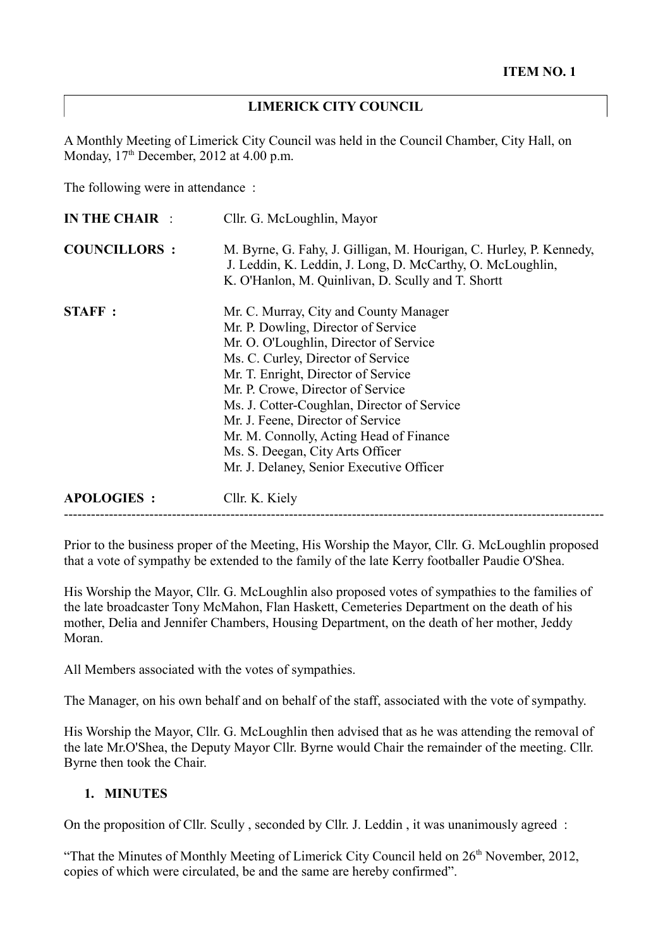#### **LIMERICK CITY COUNCIL**

A Monthly Meeting of Limerick City Council was held in the Council Chamber, City Hall, on Monday,  $17<sup>th</sup>$  December, 2012 at 4.00 p.m.

The following were in attendance :

| Cllr. G. McLoughlin, Mayor                                                                                                                                                                                                                                                                                                                                                                                   |
|--------------------------------------------------------------------------------------------------------------------------------------------------------------------------------------------------------------------------------------------------------------------------------------------------------------------------------------------------------------------------------------------------------------|
| M. Byrne, G. Fahy, J. Gilligan, M. Hourigan, C. Hurley, P. Kennedy,<br>J. Leddin, K. Leddin, J. Long, D. McCarthy, O. McLoughlin,<br>K. O'Hanlon, M. Quinlivan, D. Scully and T. Shortt                                                                                                                                                                                                                      |
| Mr. C. Murray, City and County Manager<br>Mr. P. Dowling, Director of Service<br>Mr. O. O'Loughlin, Director of Service<br>Ms. C. Curley, Director of Service<br>Mr. T. Enright, Director of Service<br>Mr. P. Crowe, Director of Service<br>Ms. J. Cotter-Coughlan, Director of Service<br>Mr. J. Feene, Director of Service<br>Mr. M. Connolly, Acting Head of Finance<br>Ms. S. Deegan, City Arts Officer |
| Mr. J. Delaney, Senior Executive Officer<br>Cllr. K. Kiely                                                                                                                                                                                                                                                                                                                                                   |
|                                                                                                                                                                                                                                                                                                                                                                                                              |

Prior to the business proper of the Meeting, His Worship the Mayor, Cllr. G. McLoughlin proposed that a vote of sympathy be extended to the family of the late Kerry footballer Paudie O'Shea.

------------------------------------------------------------------------------------------------------------------------

His Worship the Mayor, Cllr. G. McLoughlin also proposed votes of sympathies to the families of the late broadcaster Tony McMahon, Flan Haskett, Cemeteries Department on the death of his mother, Delia and Jennifer Chambers, Housing Department, on the death of her mother, Jeddy Moran.

All Members associated with the votes of sympathies.

The Manager, on his own behalf and on behalf of the staff, associated with the vote of sympathy.

His Worship the Mayor, Cllr. G. McLoughlin then advised that as he was attending the removal of the late Mr.O'Shea, the Deputy Mayor Cllr. Byrne would Chair the remainder of the meeting. Cllr. Byrne then took the Chair.

#### **1. MINUTES**

On the proposition of Cllr. Scully , seconded by Cllr. J. Leddin , it was unanimously agreed :

"That the Minutes of Monthly Meeting of Limerick City Council held on  $26<sup>th</sup>$  November, 2012, copies of which were circulated, be and the same are hereby confirmed".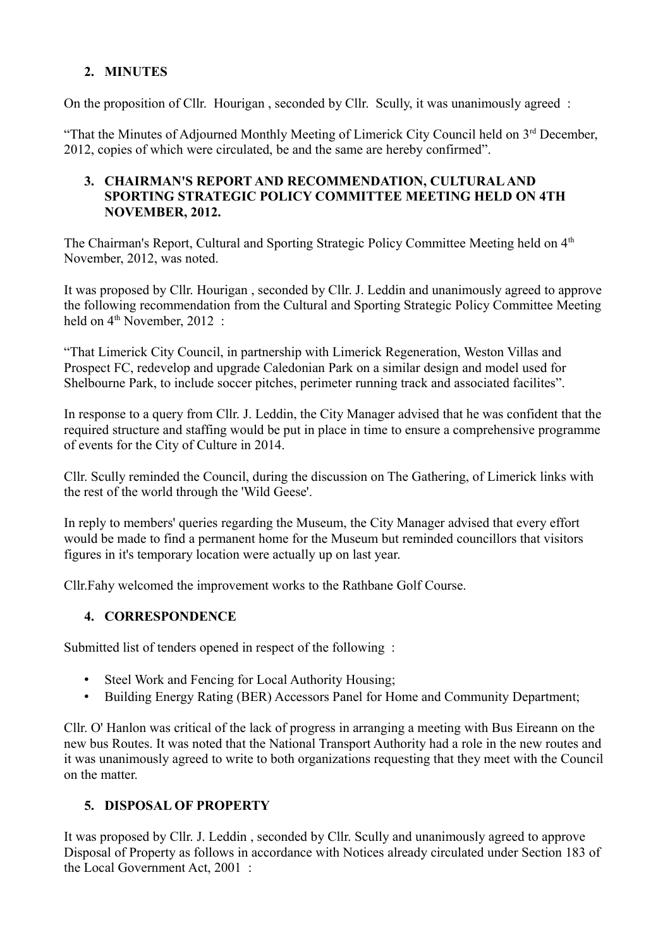## **2. MINUTES**

On the proposition of Cllr. Hourigan , seconded by Cllr. Scully, it was unanimously agreed :

"That the Minutes of Adjourned Monthly Meeting of Limerick City Council held on 3<sup>rd</sup> December, 2012, copies of which were circulated, be and the same are hereby confirmed".

#### **3. CHAIRMAN'S REPORT AND RECOMMENDATION, CULTURAL AND SPORTING STRATEGIC POLICY COMMITTEE MEETING HELD ON 4TH NOVEMBER, 2012.**

The Chairman's Report, Cultural and Sporting Strategic Policy Committee Meeting held on 4<sup>th</sup> November, 2012, was noted.

It was proposed by Cllr. Hourigan , seconded by Cllr. J. Leddin and unanimously agreed to approve the following recommendation from the Cultural and Sporting Strategic Policy Committee Meeting held on 4<sup>th</sup> November, 2012 :

"That Limerick City Council, in partnership with Limerick Regeneration, Weston Villas and Prospect FC, redevelop and upgrade Caledonian Park on a similar design and model used for Shelbourne Park, to include soccer pitches, perimeter running track and associated facilites".

In response to a query from Cllr. J. Leddin, the City Manager advised that he was confident that the required structure and staffing would be put in place in time to ensure a comprehensive programme of events for the City of Culture in 2014.

Cllr. Scully reminded the Council, during the discussion on The Gathering, of Limerick links with the rest of the world through the 'Wild Geese'.

In reply to members' queries regarding the Museum, the City Manager advised that every effort would be made to find a permanent home for the Museum but reminded councillors that visitors figures in it's temporary location were actually up on last year.

Cllr.Fahy welcomed the improvement works to the Rathbane Golf Course.

## **4. CORRESPONDENCE**

Submitted list of tenders opened in respect of the following :

- Steel Work and Fencing for Local Authority Housing;
- Building Energy Rating (BER) Accessors Panel for Home and Community Department;

Cllr. O' Hanlon was critical of the lack of progress in arranging a meeting with Bus Eireann on the new bus Routes. It was noted that the National Transport Authority had a role in the new routes and it was unanimously agreed to write to both organizations requesting that they meet with the Council on the matter.

# **5. DISPOSAL OF PROPERTY**

It was proposed by Cllr. J. Leddin , seconded by Cllr. Scully and unanimously agreed to approve Disposal of Property as follows in accordance with Notices already circulated under Section 183 of the Local Government Act, 2001 :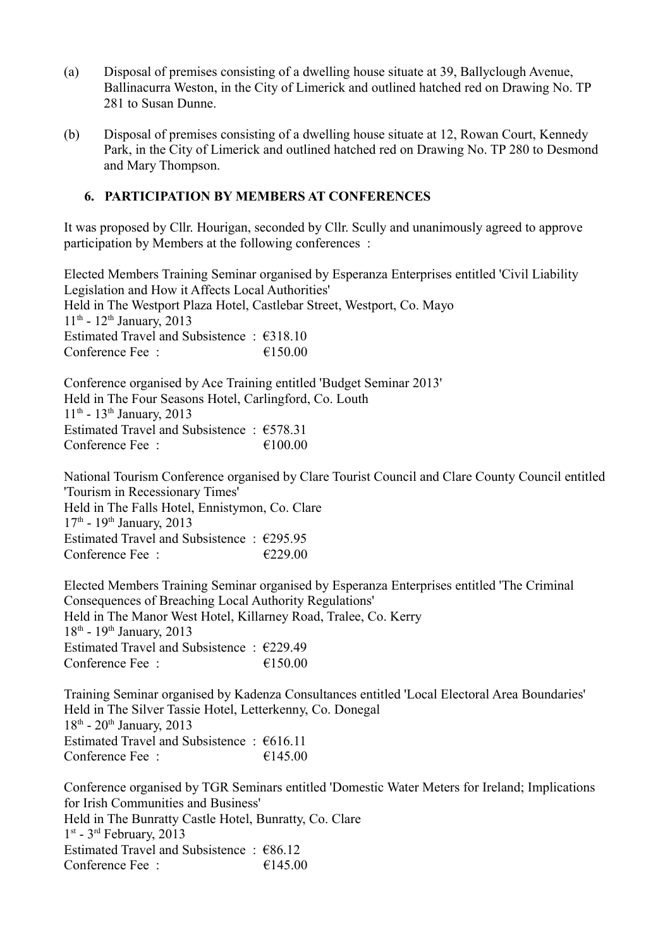- (a) Disposal of premises consisting of a dwelling house situate at 39, Ballyclough Avenue, Ballinacurra Weston, in the City of Limerick and outlined hatched red on Drawing No. TP 281 to Susan Dunne.
- (b) Disposal of premises consisting of a dwelling house situate at 12, Rowan Court, Kennedy Park, in the City of Limerick and outlined hatched red on Drawing No. TP 280 to Desmond and Mary Thompson.

#### **6. PARTICIPATION BY MEMBERS AT CONFERENCES**

It was proposed by Cllr. Hourigan, seconded by Cllr. Scully and unanimously agreed to approve participation by Members at the following conferences :

Elected Members Training Seminar organised by Esperanza Enterprises entitled 'Civil Liability Legislation and How it Affects Local Authorities' Held in The Westport Plaza Hotel, Castlebar Street, Westport, Co. Mayo  $11<sup>th</sup> - 12<sup>th</sup> January, 2013$ Estimated Travel and Subsistence : €318.10 Conference Fee :  $\epsilon$  150.00

Conference organised by Ace Training entitled 'Budget Seminar 2013' Held in The Four Seasons Hotel, Carlingford, Co. Louth  $11<sup>th</sup> - 13<sup>th</sup>$  January, 2013 Estimated Travel and Subsistence :  $\epsilon$ 578.31 Conference Fee :  $\epsilon$  100.00

National Tourism Conference organised by Clare Tourist Council and Clare County Council entitled 'Tourism in Recessionary Times' Held in The Falls Hotel, Ennistymon, Co. Clare  $17^{th}$  -  $19^{th}$  January, 2013 Estimated Travel and Subsistence :  $\epsilon$ 295.95 Conference Fee :  $\epsilon$  6229.00

Elected Members Training Seminar organised by Esperanza Enterprises entitled 'The Criminal Consequences of Breaching Local Authority Regulations' Held in The Manor West Hotel, Killarney Road, Tralee, Co. Kerry  $18^{th}$  -  $19^{th}$  January, 2013 Estimated Travel and Subsistence : €229.49 Conference Fee :  $\epsilon$  = 6150.00

Training Seminar organised by Kadenza Consultances entitled 'Local Electoral Area Boundaries' Held in The Silver Tassie Hotel, Letterkenny, Co. Donegal  $18^{th}$  -  $20^{th}$  January, 2013 Estimated Travel and Subsistence : €616.11 Conference Fee  $\cdot$   $\epsilon$  145.00

Conference organised by TGR Seminars entitled 'Domestic Water Meters for Ireland; Implications for Irish Communities and Business' Held in The Bunratty Castle Hotel, Bunratty, Co. Clare 1<sup>st</sup> - 3<sup>rd</sup> February, 2013 Estimated Travel and Subsistence :  $€86.12$ Conference Fee :  $\epsilon$  145.00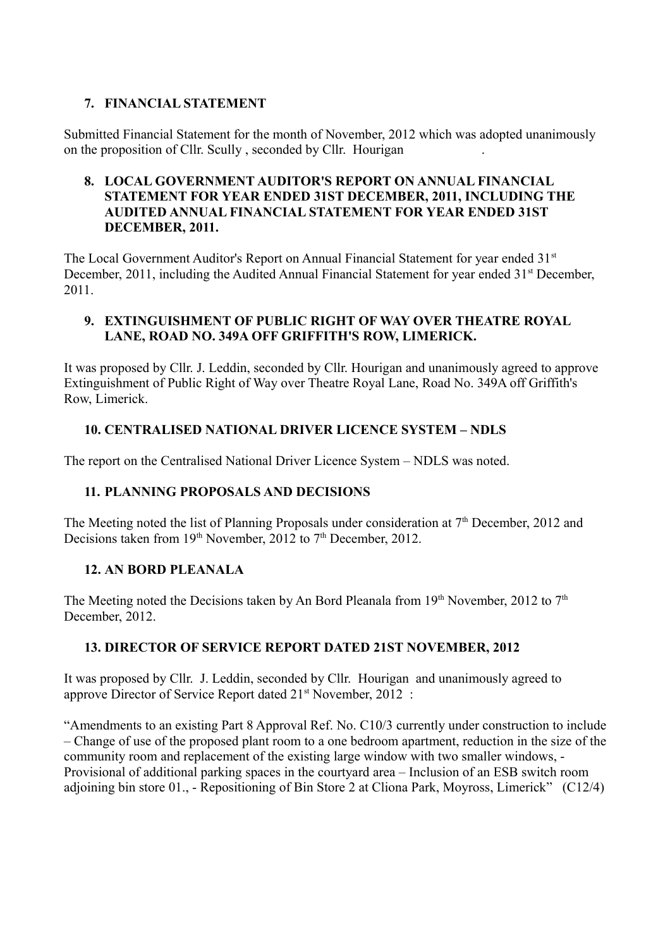# **7. FINANCIAL STATEMENT**

Submitted Financial Statement for the month of November, 2012 which was adopted unanimously on the proposition of Cllr. Scully , seconded by Cllr. Hourigan .

#### **8. LOCAL GOVERNMENT AUDITOR'S REPORT ON ANNUAL FINANCIAL STATEMENT FOR YEAR ENDED 31ST DECEMBER, 2011, INCLUDING THE AUDITED ANNUAL FINANCIAL STATEMENT FOR YEAR ENDED 31ST DECEMBER, 2011.**

The Local Government Auditor's Report on Annual Financial Statement for year ended 31<sup>st</sup> December, 2011, including the Audited Annual Financial Statement for year ended  $31<sup>st</sup>$  December, 2011.

#### **9. EXTINGUISHMENT OF PUBLIC RIGHT OF WAY OVER THEATRE ROYAL LANE, ROAD NO. 349A OFF GRIFFITH'S ROW, LIMERICK.**

It was proposed by Cllr. J. Leddin, seconded by Cllr. Hourigan and unanimously agreed to approve Extinguishment of Public Right of Way over Theatre Royal Lane, Road No. 349A off Griffith's Row, Limerick.

### **10. CENTRALISED NATIONAL DRIVER LICENCE SYSTEM – NDLS**

The report on the Centralised National Driver Licence System – NDLS was noted.

#### **11. PLANNING PROPOSALS AND DECISIONS**

The Meeting noted the list of Planning Proposals under consideration at  $7<sup>th</sup>$  December, 2012 and Decisions taken from 19<sup>th</sup> November, 2012 to 7<sup>th</sup> December, 2012.

#### **12. AN BORD PLEANALA**

The Meeting noted the Decisions taken by An Bord Pleanala from  $19<sup>th</sup>$  November, 2012 to  $7<sup>th</sup>$ December, 2012.

#### **13. DIRECTOR OF SERVICE REPORT DATED 21ST NOVEMBER, 2012**

It was proposed by Cllr. J. Leddin, seconded by Cllr. Hourigan and unanimously agreed to approve Director of Service Report dated 21<sup>st</sup> November, 2012 :

"Amendments to an existing Part 8 Approval Ref. No. C10/3 currently under construction to include – Change of use of the proposed plant room to a one bedroom apartment, reduction in the size of the community room and replacement of the existing large window with two smaller windows, - Provisional of additional parking spaces in the courtyard area – Inclusion of an ESB switch room adjoining bin store 01., - Repositioning of Bin Store 2 at Cliona Park, Moyross, Limerick" (C12/4)